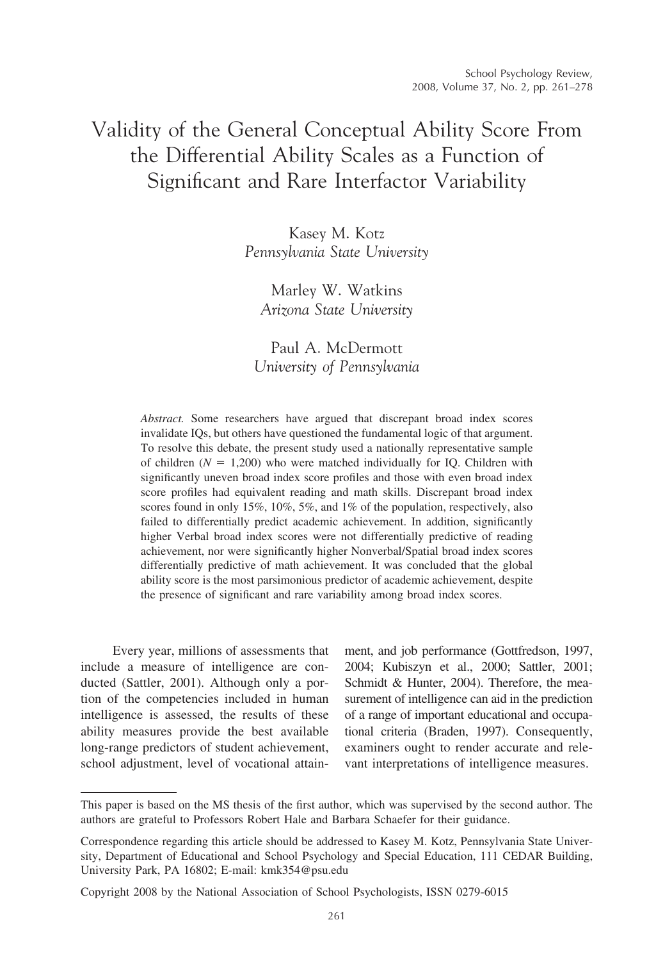# Validity of the General Conceptual Ability Score From the Differential Ability Scales as a Function of Significant and Rare Interfactor Variability

Kasey M. Kotz *Pennsylvania State University*

Marley W. Watkins *Arizona State University*

Paul A. McDermott *University of Pennsylvania*

*Abstract.* Some researchers have argued that discrepant broad index scores invalidate IQs, but others have questioned the fundamental logic of that argument. To resolve this debate, the present study used a nationally representative sample of children  $(N = 1,200)$  who were matched individually for IQ. Children with significantly uneven broad index score profiles and those with even broad index score profiles had equivalent reading and math skills. Discrepant broad index scores found in only 15%, 10%, 5%, and 1% of the population, respectively, also failed to differentially predict academic achievement. In addition, significantly higher Verbal broad index scores were not differentially predictive of reading achievement, nor were significantly higher Nonverbal/Spatial broad index scores differentially predictive of math achievement. It was concluded that the global ability score is the most parsimonious predictor of academic achievement, despite the presence of significant and rare variability among broad index scores.

Every year, millions of assessments that include a measure of intelligence are conducted (Sattler, 2001). Although only a portion of the competencies included in human intelligence is assessed, the results of these ability measures provide the best available long-range predictors of student achievement, school adjustment, level of vocational attainment, and job performance (Gottfredson, 1997, 2004; Kubiszyn et al., 2000; Sattler, 2001; Schmidt & Hunter, 2004). Therefore, the measurement of intelligence can aid in the prediction of a range of important educational and occupational criteria (Braden, 1997). Consequently, examiners ought to render accurate and relevant interpretations of intelligence measures.

This paper is based on the MS thesis of the first author, which was supervised by the second author. The authors are grateful to Professors Robert Hale and Barbara Schaefer for their guidance.

Correspondence regarding this article should be addressed to Kasey M. Kotz, Pennsylvania State University, Department of Educational and School Psychology and Special Education, 111 CEDAR Building, University Park, PA 16802; E-mail: kmk354@psu.edu

Copyright 2008 by the National Association of School Psychologists, ISSN 0279-6015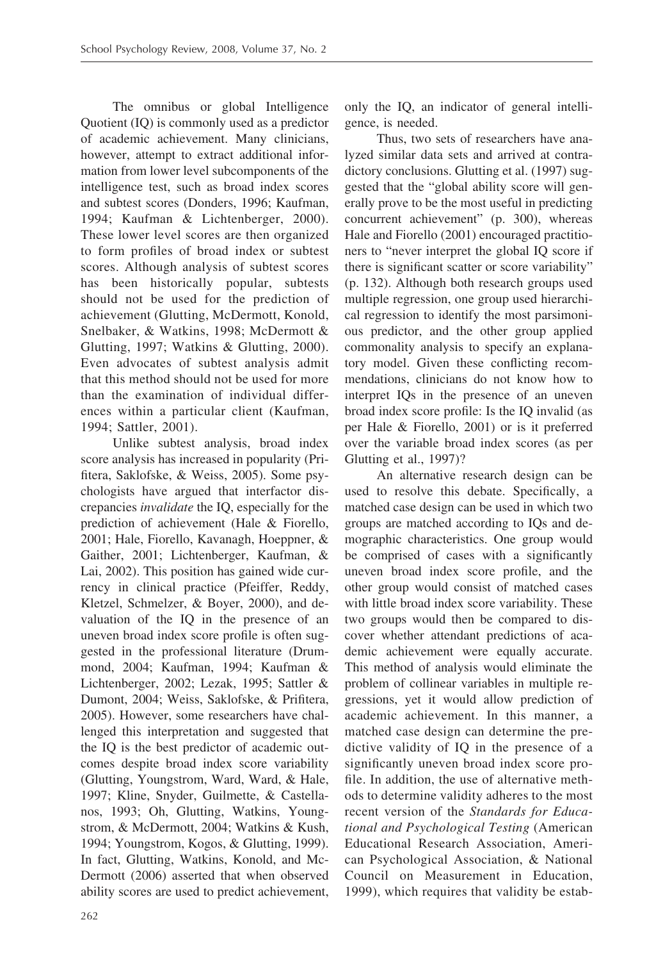The omnibus or global Intelligence Quotient (IQ) is commonly used as a predictor of academic achievement. Many clinicians, however, attempt to extract additional information from lower level subcomponents of the intelligence test, such as broad index scores and subtest scores (Donders, 1996; Kaufman, 1994; Kaufman & Lichtenberger, 2000). These lower level scores are then organized to form profiles of broad index or subtest scores. Although analysis of subtest scores has been historically popular, subtests should not be used for the prediction of achievement (Glutting, McDermott, Konold, Snelbaker, & Watkins, 1998; McDermott & Glutting, 1997; Watkins & Glutting, 2000). Even advocates of subtest analysis admit that this method should not be used for more than the examination of individual differences within a particular client (Kaufman, 1994; Sattler, 2001).

Unlike subtest analysis, broad index score analysis has increased in popularity (Prifitera, Saklofske, & Weiss, 2005). Some psychologists have argued that interfactor discrepancies *invalidate* the IQ, especially for the prediction of achievement (Hale & Fiorello, 2001; Hale, Fiorello, Kavanagh, Hoeppner, & Gaither, 2001; Lichtenberger, Kaufman, & Lai, 2002). This position has gained wide currency in clinical practice (Pfeiffer, Reddy, Kletzel, Schmelzer, & Boyer, 2000), and devaluation of the IQ in the presence of an uneven broad index score profile is often suggested in the professional literature (Drummond, 2004; Kaufman, 1994; Kaufman & Lichtenberger, 2002; Lezak, 1995; Sattler & Dumont, 2004; Weiss, Saklofske, & Prifitera, 2005). However, some researchers have challenged this interpretation and suggested that the IQ is the best predictor of academic outcomes despite broad index score variability (Glutting, Youngstrom, Ward, Ward, & Hale, 1997; Kline, Snyder, Guilmette, & Castellanos, 1993; Oh, Glutting, Watkins, Youngstrom, & McDermott, 2004; Watkins & Kush, 1994; Youngstrom, Kogos, & Glutting, 1999). In fact, Glutting, Watkins, Konold, and Mc-Dermott (2006) asserted that when observed ability scores are used to predict achievement,

only the IQ, an indicator of general intelligence, is needed.

Thus, two sets of researchers have analyzed similar data sets and arrived at contradictory conclusions. Glutting et al. (1997) suggested that the "global ability score will generally prove to be the most useful in predicting concurrent achievement" (p. 300), whereas Hale and Fiorello (2001) encouraged practitioners to "never interpret the global IQ score if there is significant scatter or score variability" (p. 132). Although both research groups used multiple regression, one group used hierarchical regression to identify the most parsimonious predictor, and the other group applied commonality analysis to specify an explanatory model. Given these conflicting recommendations, clinicians do not know how to interpret IQs in the presence of an uneven broad index score profile: Is the IQ invalid (as per Hale & Fiorello, 2001) or is it preferred over the variable broad index scores (as per Glutting et al., 1997)?

An alternative research design can be used to resolve this debate. Specifically, a matched case design can be used in which two groups are matched according to IQs and demographic characteristics. One group would be comprised of cases with a significantly uneven broad index score profile, and the other group would consist of matched cases with little broad index score variability. These two groups would then be compared to discover whether attendant predictions of academic achievement were equally accurate. This method of analysis would eliminate the problem of collinear variables in multiple regressions, yet it would allow prediction of academic achievement. In this manner, a matched case design can determine the predictive validity of IQ in the presence of a significantly uneven broad index score profile. In addition, the use of alternative methods to determine validity adheres to the most recent version of the *Standards for Educational and Psychological Testing* (American Educational Research Association, American Psychological Association, & National Council on Measurement in Education, 1999), which requires that validity be estab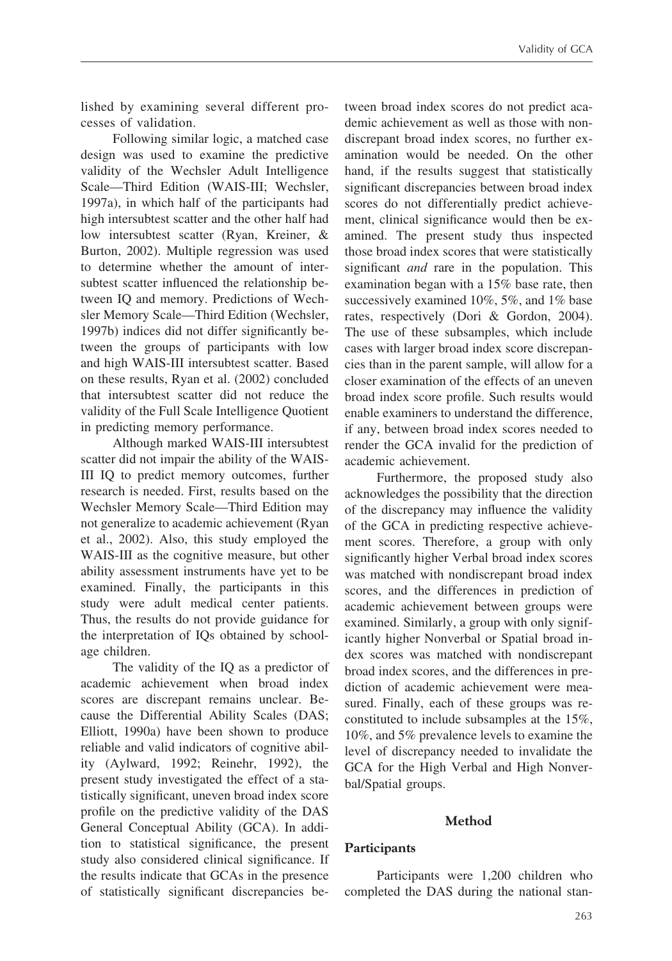lished by examining several different processes of validation.

Following similar logic, a matched case design was used to examine the predictive validity of the Wechsler Adult Intelligence Scale—Third Edition (WAIS-III; Wechsler, 1997a), in which half of the participants had high intersubtest scatter and the other half had low intersubtest scatter (Ryan, Kreiner, & Burton, 2002). Multiple regression was used to determine whether the amount of intersubtest scatter influenced the relationship between IQ and memory. Predictions of Wechsler Memory Scale—Third Edition (Wechsler, 1997b) indices did not differ significantly between the groups of participants with low and high WAIS-III intersubtest scatter. Based on these results, Ryan et al. (2002) concluded that intersubtest scatter did not reduce the validity of the Full Scale Intelligence Quotient in predicting memory performance.

Although marked WAIS-III intersubtest scatter did not impair the ability of the WAIS-III IQ to predict memory outcomes, further research is needed. First, results based on the Wechsler Memory Scale—Third Edition may not generalize to academic achievement (Ryan et al., 2002). Also, this study employed the WAIS-III as the cognitive measure, but other ability assessment instruments have yet to be examined. Finally, the participants in this study were adult medical center patients. Thus, the results do not provide guidance for the interpretation of IQs obtained by schoolage children.

The validity of the IQ as a predictor of academic achievement when broad index scores are discrepant remains unclear. Because the Differential Ability Scales (DAS; Elliott, 1990a) have been shown to produce reliable and valid indicators of cognitive ability (Aylward, 1992; Reinehr, 1992), the present study investigated the effect of a statistically significant, uneven broad index score profile on the predictive validity of the DAS General Conceptual Ability (GCA). In addition to statistical significance, the present study also considered clinical significance. If the results indicate that GCAs in the presence of statistically significant discrepancies between broad index scores do not predict academic achievement as well as those with nondiscrepant broad index scores, no further examination would be needed. On the other hand, if the results suggest that statistically significant discrepancies between broad index scores do not differentially predict achievement, clinical significance would then be examined. The present study thus inspected those broad index scores that were statistically significant *and* rare in the population. This examination began with a 15% base rate, then successively examined 10%, 5%, and 1% base rates, respectively (Dori & Gordon, 2004). The use of these subsamples, which include cases with larger broad index score discrepancies than in the parent sample, will allow for a closer examination of the effects of an uneven broad index score profile. Such results would enable examiners to understand the difference, if any, between broad index scores needed to render the GCA invalid for the prediction of academic achievement.

Furthermore, the proposed study also acknowledges the possibility that the direction of the discrepancy may influence the validity of the GCA in predicting respective achievement scores. Therefore, a group with only significantly higher Verbal broad index scores was matched with nondiscrepant broad index scores, and the differences in prediction of academic achievement between groups were examined. Similarly, a group with only significantly higher Nonverbal or Spatial broad index scores was matched with nondiscrepant broad index scores, and the differences in prediction of academic achievement were measured. Finally, each of these groups was reconstituted to include subsamples at the 15%, 10%, and 5% prevalence levels to examine the level of discrepancy needed to invalidate the GCA for the High Verbal and High Nonverbal/Spatial groups.

#### **Method**

## **Participants**

Participants were 1,200 children who completed the DAS during the national stan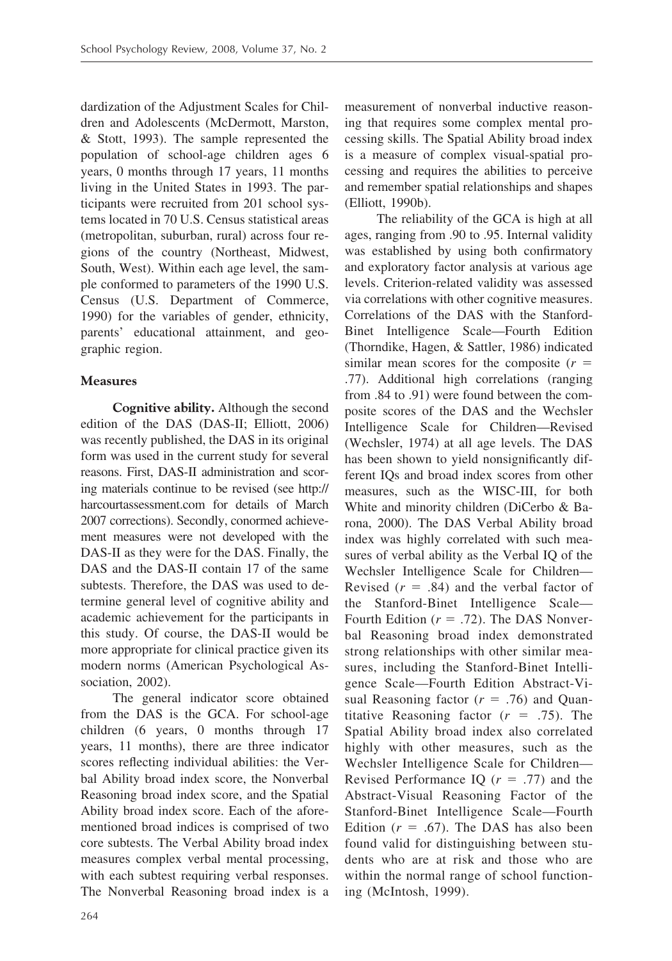dardization of the Adjustment Scales for Children and Adolescents (McDermott, Marston, & Stott, 1993). The sample represented the population of school-age children ages 6 years, 0 months through 17 years, 11 months living in the United States in 1993. The participants were recruited from 201 school systems located in 70 U.S. Census statistical areas (metropolitan, suburban, rural) across four regions of the country (Northeast, Midwest, South, West). Within each age level, the sample conformed to parameters of the 1990 U.S. Census (U.S. Department of Commerce, 1990) for the variables of gender, ethnicity, parents' educational attainment, and geographic region.

## **Measures**

**Cognitive ability.** Although the second edition of the DAS (DAS-II; Elliott, 2006) was recently published, the DAS in its original form was used in the current study for several reasons. First, DAS-II administration and scoring materials continue to be revised (see http:// harcourtassessment.com for details of March 2007 corrections). Secondly, conormed achievement measures were not developed with the DAS-II as they were for the DAS. Finally, the DAS and the DAS-II contain 17 of the same subtests. Therefore, the DAS was used to determine general level of cognitive ability and academic achievement for the participants in this study. Of course, the DAS-II would be more appropriate for clinical practice given its modern norms (American Psychological Association, 2002).

The general indicator score obtained from the DAS is the GCA. For school-age children (6 years, 0 months through 17 years, 11 months), there are three indicator scores reflecting individual abilities: the Verbal Ability broad index score, the Nonverbal Reasoning broad index score, and the Spatial Ability broad index score. Each of the aforementioned broad indices is comprised of two core subtests. The Verbal Ability broad index measures complex verbal mental processing, with each subtest requiring verbal responses. The Nonverbal Reasoning broad index is a

measurement of nonverbal inductive reasoning that requires some complex mental processing skills. The Spatial Ability broad index is a measure of complex visual-spatial processing and requires the abilities to perceive and remember spatial relationships and shapes (Elliott, 1990b).

The reliability of the GCA is high at all ages, ranging from .90 to .95. Internal validity was established by using both confirmatory and exploratory factor analysis at various age levels. Criterion-related validity was assessed via correlations with other cognitive measures. Correlations of the DAS with the Stanford-Binet Intelligence Scale—Fourth Edition (Thorndike, Hagen, & Sattler, 1986) indicated similar mean scores for the composite  $(r =$ .77). Additional high correlations (ranging from .84 to .91) were found between the composite scores of the DAS and the Wechsler Intelligence Scale for Children—Revised (Wechsler, 1974) at all age levels. The DAS has been shown to yield nonsignificantly different IQs and broad index scores from other measures, such as the WISC-III, for both White and minority children (DiCerbo & Barona, 2000). The DAS Verbal Ability broad index was highly correlated with such measures of verbal ability as the Verbal IQ of the Wechsler Intelligence Scale for Children— Revised  $(r = .84)$  and the verbal factor of the Stanford-Binet Intelligence Scale— Fourth Edition  $(r = .72)$ . The DAS Nonverbal Reasoning broad index demonstrated strong relationships with other similar measures, including the Stanford-Binet Intelligence Scale—Fourth Edition Abstract-Visual Reasoning factor  $(r = .76)$  and Quantitative Reasoning factor  $(r = .75)$ . The Spatial Ability broad index also correlated highly with other measures, such as the Wechsler Intelligence Scale for Children— Revised Performance IQ  $(r = .77)$  and the Abstract-Visual Reasoning Factor of the Stanford-Binet Intelligence Scale—Fourth Edition  $(r = .67)$ . The DAS has also been found valid for distinguishing between students who are at risk and those who are within the normal range of school functioning (McIntosh, 1999).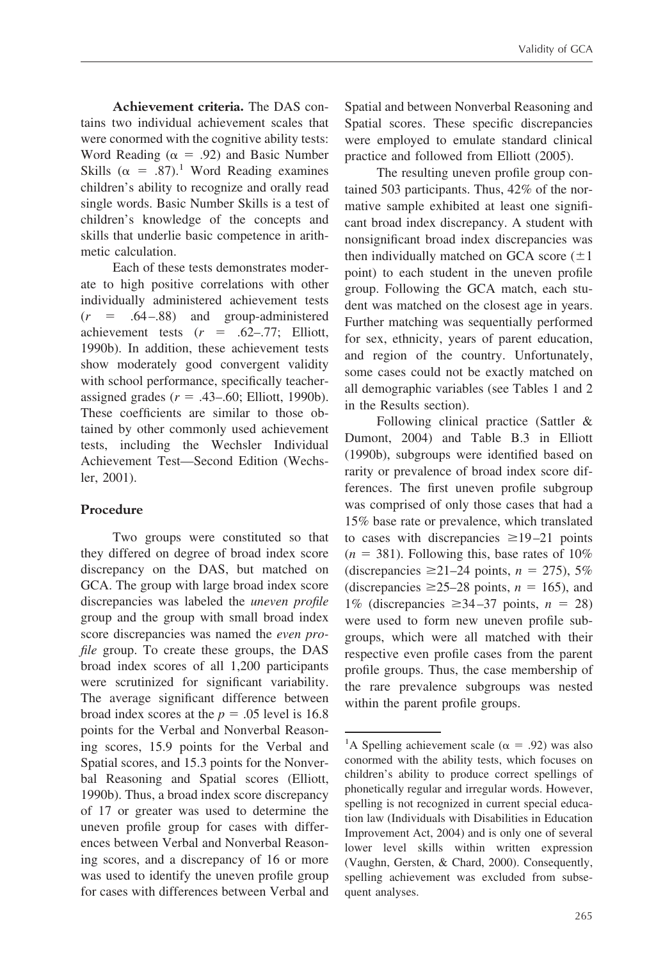**Achievement criteria.** The DAS contains two individual achievement scales that were conormed with the cognitive ability tests: Word Reading ( $\alpha = .92$ ) and Basic Number Skills ( $\alpha$  = .87).<sup>1</sup> Word Reading examines children's ability to recognize and orally read single words. Basic Number Skills is a test of children's knowledge of the concepts and skills that underlie basic competence in arithmetic calculation.

Each of these tests demonstrates moderate to high positive correlations with other individually administered achievement tests  $(r = .64 - .88)$  and group-administered achievement tests  $(r = .62-.77;$  Elliott, 1990b). In addition, these achievement tests show moderately good convergent validity with school performance, specifically teacherassigned grades  $(r = .43-.60;$  Elliott, 1990b). These coefficients are similar to those obtained by other commonly used achievement tests, including the Wechsler Individual Achievement Test—Second Edition (Wechsler, 2001).

## **Procedure**

Two groups were constituted so that they differed on degree of broad index score discrepancy on the DAS, but matched on GCA. The group with large broad index score discrepancies was labeled the *uneven profile* group and the group with small broad index score discrepancies was named the *even profile* group. To create these groups, the DAS broad index scores of all 1,200 participants were scrutinized for significant variability. The average significant difference between broad index scores at the  $p = .05$  level is 16.8 points for the Verbal and Nonverbal Reasoning scores, 15.9 points for the Verbal and Spatial scores, and 15.3 points for the Nonverbal Reasoning and Spatial scores (Elliott, 1990b). Thus, a broad index score discrepancy of 17 or greater was used to determine the uneven profile group for cases with differences between Verbal and Nonverbal Reasoning scores, and a discrepancy of 16 or more was used to identify the uneven profile group for cases with differences between Verbal and

Spatial and between Nonverbal Reasoning and Spatial scores. These specific discrepancies were employed to emulate standard clinical practice and followed from Elliott (2005).

The resulting uneven profile group contained 503 participants. Thus, 42% of the normative sample exhibited at least one significant broad index discrepancy. A student with nonsignificant broad index discrepancies was then individually matched on GCA score  $(\pm 1)$ point) to each student in the uneven profile group. Following the GCA match, each student was matched on the closest age in years. Further matching was sequentially performed for sex, ethnicity, years of parent education, and region of the country. Unfortunately, some cases could not be exactly matched on all demographic variables (see Tables 1 and 2 in the Results section).

Following clinical practice (Sattler & Dumont, 2004) and Table B.3 in Elliott (1990b), subgroups were identified based on rarity or prevalence of broad index score differences. The first uneven profile subgroup was comprised of only those cases that had a 15% base rate or prevalence, which translated to cases with discrepancies  $\geq 19 - 21$  points  $(n = 381)$ . Following this, base rates of 10% (discrepancies  $\geq$ 21–24 points, *n* = 275), 5% (discrepancies  $\geq 25-28$  points,  $n = 165$ ), and 1% (discrepancies  $\geq 34 - 37$  points,  $n = 28$ ) were used to form new uneven profile subgroups, which were all matched with their respective even profile cases from the parent profile groups. Thus, the case membership of the rare prevalence subgroups was nested within the parent profile groups.

<sup>&</sup>lt;sup>1</sup>A Spelling achievement scale ( $\alpha$  = .92) was also conormed with the ability tests, which focuses on children's ability to produce correct spellings of phonetically regular and irregular words. However, spelling is not recognized in current special education law (Individuals with Disabilities in Education Improvement Act, 2004) and is only one of several lower level skills within written expression (Vaughn, Gersten, & Chard, 2000). Consequently, spelling achievement was excluded from subsequent analyses.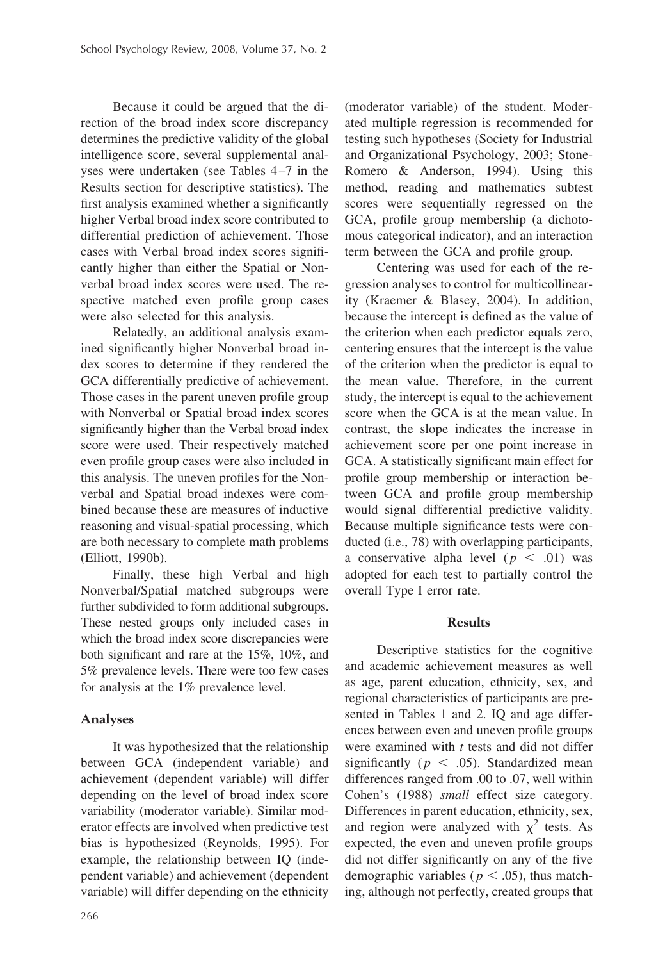Because it could be argued that the direction of the broad index score discrepancy determines the predictive validity of the global intelligence score, several supplemental analyses were undertaken (see Tables 4 –7 in the Results section for descriptive statistics). The first analysis examined whether a significantly higher Verbal broad index score contributed to differential prediction of achievement. Those cases with Verbal broad index scores significantly higher than either the Spatial or Nonverbal broad index scores were used. The respective matched even profile group cases were also selected for this analysis.

Relatedly, an additional analysis examined significantly higher Nonverbal broad index scores to determine if they rendered the GCA differentially predictive of achievement. Those cases in the parent uneven profile group with Nonverbal or Spatial broad index scores significantly higher than the Verbal broad index score were used. Their respectively matched even profile group cases were also included in this analysis. The uneven profiles for the Nonverbal and Spatial broad indexes were combined because these are measures of inductive reasoning and visual-spatial processing, which are both necessary to complete math problems (Elliott, 1990b).

Finally, these high Verbal and high Nonverbal/Spatial matched subgroups were further subdivided to form additional subgroups. These nested groups only included cases in which the broad index score discrepancies were both significant and rare at the 15%, 10%, and 5% prevalence levels. There were too few cases for analysis at the 1% prevalence level.

## **Analyses**

It was hypothesized that the relationship between GCA (independent variable) and achievement (dependent variable) will differ depending on the level of broad index score variability (moderator variable). Similar moderator effects are involved when predictive test bias is hypothesized (Reynolds, 1995). For example, the relationship between IQ (independent variable) and achievement (dependent variable) will differ depending on the ethnicity (moderator variable) of the student. Moderated multiple regression is recommended for testing such hypotheses (Society for Industrial and Organizational Psychology, 2003; Stone-Romero & Anderson, 1994). Using this method, reading and mathematics subtest scores were sequentially regressed on the GCA, profile group membership (a dichotomous categorical indicator), and an interaction term between the GCA and profile group.

Centering was used for each of the regression analyses to control for multicollinearity (Kraemer & Blasey, 2004). In addition, because the intercept is defined as the value of the criterion when each predictor equals zero, centering ensures that the intercept is the value of the criterion when the predictor is equal to the mean value. Therefore, in the current study, the intercept is equal to the achievement score when the GCA is at the mean value. In contrast, the slope indicates the increase in achievement score per one point increase in GCA. A statistically significant main effect for profile group membership or interaction between GCA and profile group membership would signal differential predictive validity. Because multiple significance tests were conducted (i.e., 78) with overlapping participants, a conservative alpha level  $(p \lt .01)$  was adopted for each test to partially control the overall Type I error rate.

#### **Results**

Descriptive statistics for the cognitive and academic achievement measures as well as age, parent education, ethnicity, sex, and regional characteristics of participants are presented in Tables 1 and 2. IQ and age differences between even and uneven profile groups were examined with *t* tests and did not differ significantly ( $p < .05$ ). Standardized mean differences ranged from .00 to .07, well within Cohen's (1988) *small* effect size category. Differences in parent education, ethnicity, sex, and region were analyzed with  $\chi^2$  tests. As expected, the even and uneven profile groups did not differ significantly on any of the five demographic variables ( $p < .05$ ), thus matching, although not perfectly, created groups that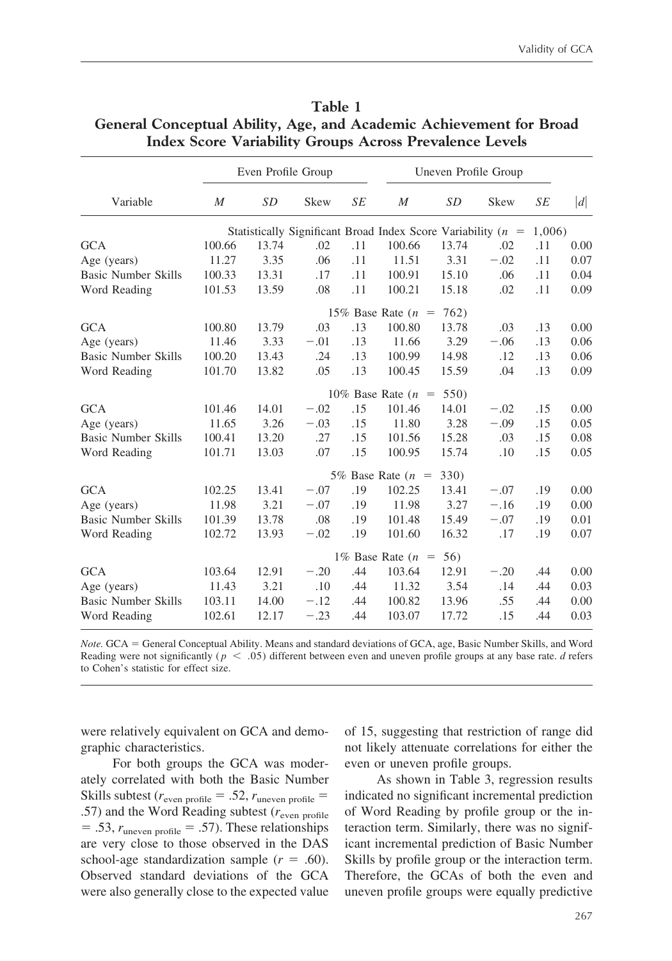| Variable<br><b>GCA</b><br>Age (years)<br><b>Basic Number Skills</b><br>Word Reading<br><b>GCA</b><br>Age (years)<br><b>Basic Number Skills</b><br>Word Reading |                  |       | Even Profile Group |     |                                                                 |           | Uneven Profile Group |        |      |
|----------------------------------------------------------------------------------------------------------------------------------------------------------------|------------------|-------|--------------------|-----|-----------------------------------------------------------------|-----------|----------------------|--------|------|
|                                                                                                                                                                | $\boldsymbol{M}$ | SD    | Skew               | SE  | $\boldsymbol{M}$                                                | <i>SD</i> | Skew                 | SE     | d    |
|                                                                                                                                                                |                  |       |                    |     | Statistically Significant Broad Index Score Variability ( $n =$ |           |                      | 1,006) |      |
|                                                                                                                                                                | 100.66           | 13.74 | .02                | .11 | 100.66                                                          | 13.74     | .02                  | .11    | 0.00 |
|                                                                                                                                                                | 11.27            | 3.35  | .06                | .11 | 11.51                                                           | 3.31      | $-.02$               | .11    | 0.07 |
|                                                                                                                                                                | 100.33           | 13.31 | .17                | .11 | 100.91                                                          | 15.10     | .06                  | .11    | 0.04 |
|                                                                                                                                                                | 101.53           | 13.59 | .08                | .11 | 100.21                                                          | 15.18     | .02                  | .11    | 0.09 |
|                                                                                                                                                                |                  |       |                    |     | 15% Base Rate $(n =$                                            | 762)      |                      |        |      |
|                                                                                                                                                                | 100.80           | 13.79 | .03                | .13 | 100.80                                                          | 13.78     | .03                  | .13    | 0.00 |
|                                                                                                                                                                | 11.46            | 3.33  | $-.01$             | .13 | 11.66                                                           | 3.29      | $-.06$               | .13    | 0.06 |
|                                                                                                                                                                | 100.20           | 13.43 | .24                | .13 | 100.99                                                          | 14.98     | .12                  | .13    | 0.06 |
|                                                                                                                                                                | 101.70           | 13.82 | .05                | .13 | 100.45                                                          | 15.59     | .04                  | .13    | 0.09 |
|                                                                                                                                                                |                  |       |                    |     | 10% Base Rate $(n =$                                            | 550)      |                      |        |      |
| <b>GCA</b>                                                                                                                                                     | 101.46           | 14.01 | $-.02$             | .15 | 101.46                                                          | 14.01     | $-.02$               | .15    | 0.00 |
| Age (years)                                                                                                                                                    | 11.65            | 3.26  | $-.03$             | .15 | 11.80                                                           | 3.28      | $-.09$               | .15    | 0.05 |
| <b>Basic Number Skills</b>                                                                                                                                     | 100.41           | 13.20 | .27                | .15 | 101.56                                                          | 15.28     | .03                  | .15    | 0.08 |
| Word Reading                                                                                                                                                   | 101.71           | 13.03 | .07                | .15 | 100.95                                                          | 15.74     | .10                  | .15    | 0.05 |
|                                                                                                                                                                |                  |       |                    |     | 5% Base Rate $(n =$                                             | 330)      |                      |        |      |
| <b>GCA</b>                                                                                                                                                     | 102.25           | 13.41 | $-.07$             | .19 | 102.25                                                          | 13.41     | $-.07$               | .19    | 0.00 |
| Age (years)                                                                                                                                                    | 11.98            | 3.21  | $-.07$             | .19 | 11.98                                                           | 3.27      | $-.16$               | .19    | 0.00 |
| <b>Basic Number Skills</b>                                                                                                                                     | 101.39           | 13.78 | .08                | .19 | 101.48                                                          | 15.49     | $-.07$               | .19    | 0.01 |
| Word Reading                                                                                                                                                   | 102.72           | 13.93 | $-.02$             | .19 | 101.60                                                          | 16.32     | .17                  | .19    | 0.07 |
|                                                                                                                                                                |                  |       |                    |     | 1% Base Rate $(n =$                                             | 56)       |                      |        |      |
| <b>GCA</b>                                                                                                                                                     | 103.64           | 12.91 | $-.20$             | .44 | 103.64                                                          | 12.91     | $-.20$               | .44    | 0.00 |
| Age (years)                                                                                                                                                    | 11.43            | 3.21  | .10                | .44 | 11.32                                                           | 3.54      | .14                  | .44    | 0.03 |
| <b>Basic Number Skills</b>                                                                                                                                     | 103.11           | 14.00 | $-.12$             | .44 | 100.82                                                          | 13.96     | .55                  | .44    | 0.00 |
| Word Reading                                                                                                                                                   | 102.61           | 12.17 | $-.23$             | .44 | 103.07                                                          | 17.72     | .15                  | .44    | 0.03 |

| Table 1                                                             |
|---------------------------------------------------------------------|
| General Conceptual Ability, Age, and Academic Achievement for Broad |
| <b>Index Score Variability Groups Across Prevalence Levels</b>      |

*Note.* GCA = General Conceptual Ability. Means and standard deviations of GCA, age, Basic Number Skills, and Word Reading were not significantly ( $p < .05$ ) different between even and uneven profile groups at any base rate. *d* refers to Cohen's statistic for effect size.

were relatively equivalent on GCA and demographic characteristics.

For both groups the GCA was moderately correlated with both the Basic Number Skills subtest ( $r_{\text{even profile}} = .52$ ,  $r_{\text{uneven profile}} =$ .57) and the Word Reading subtest ( $r_{\text{even profile}}$  $= .53$ ,  $r_{\text{uneven profile}} = .57$ ). These relationships are very close to those observed in the DAS school-age standardization sample  $(r = .60)$ . Observed standard deviations of the GCA were also generally close to the expected value

of 15, suggesting that restriction of range did not likely attenuate correlations for either the even or uneven profile groups.

As shown in Table 3, regression results indicated no significant incremental prediction of Word Reading by profile group or the interaction term. Similarly, there was no significant incremental prediction of Basic Number Skills by profile group or the interaction term. Therefore, the GCAs of both the even and uneven profile groups were equally predictive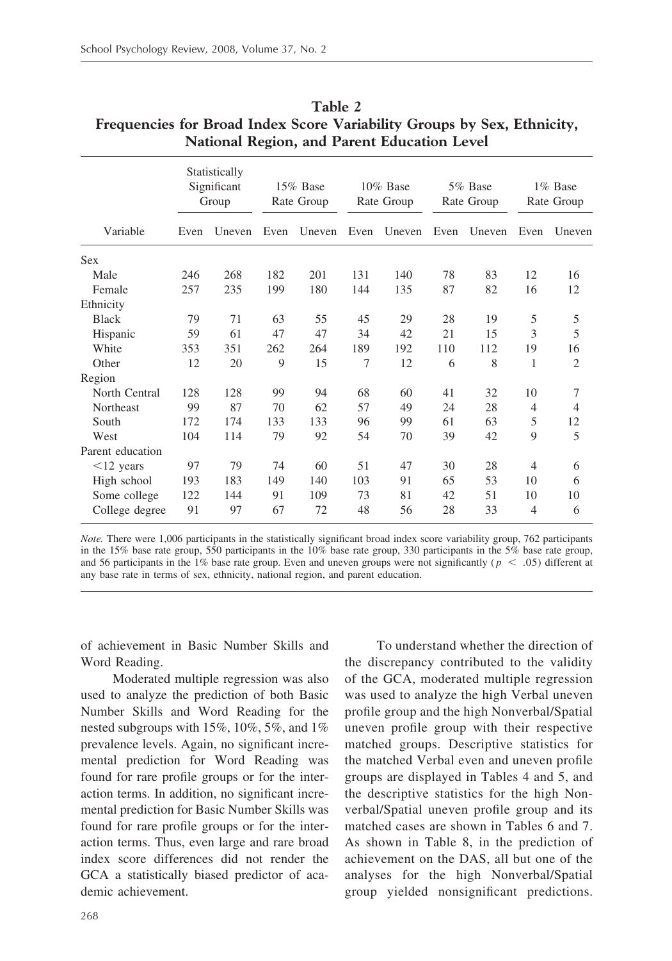|                  | Statistically<br>Significant<br>Group |        | 15% Base<br>Rate Group |        | $10\%$ Base<br>Rate Group |        | 5% Base<br>Rate Group |        | 1% Base<br>Rate Group |                |
|------------------|---------------------------------------|--------|------------------------|--------|---------------------------|--------|-----------------------|--------|-----------------------|----------------|
| Variable         | Even                                  | Uneven | Even                   | Uneven | Even                      | Uneven | Even                  | Uneven | Even                  | Uneven         |
| Sex              |                                       |        |                        |        |                           |        |                       |        |                       |                |
| Male             | 246                                   | 268    | 182                    | 201    | 131                       | 140    | 78                    | 83     | 12                    | 16             |
| Female           | 257                                   | 235    | 199                    | 180    | 144                       | 135    | 87                    | 82     | 16                    | 12             |
| Ethnicity        |                                       |        |                        |        |                           |        |                       |        |                       |                |
| <b>Black</b>     | 79                                    | 71     | 63                     | 55     | 45                        | 29     | 28                    | 19     | 5                     | 5              |
| Hispanic         | 59                                    | 61     | 47                     | 47     | 34                        | 42     | 21                    | 15     | 3                     | 5              |
| White            | 353                                   | 351    | 262                    | 264    | 189                       | 192    | 110                   | 112    | 19                    | 16             |
| Other            | 12                                    | 20     | 9                      | 15     | 7                         | 12     | 6                     | 8      | 1                     | $\overline{2}$ |
| Region           |                                       |        |                        |        |                           |        |                       |        |                       |                |
| North Central    | 128                                   | 128    | 99                     | 94     | 68                        | 60     | 41                    | 32     | 10                    | 7              |
| Northeast        | 99                                    | 87     | 70                     | 62     | 57                        | 49     | 24                    | 28     | $\overline{4}$        | $\overline{4}$ |
| South            | 172                                   | 174    | 133                    | 133    | 96                        | 99     | 61                    | 63     | 5                     | 12             |
| West             | 104                                   | 114    | 79                     | 92     | 54                        | 70     | 39                    | 42     | 9                     | 5              |
| Parent education |                                       |        |                        |        |                           |        |                       |        |                       |                |
| $<$ 12 years     | 97                                    | 79     | 74                     | 60     | 51                        | 47     | 30                    | 28     | $\overline{4}$        | 6              |
| High school      | 193                                   | 183    | 149                    | 140    | 103                       | 91     | 65                    | 53     | 10                    | 6              |
| Some college     | 122                                   | 144    | 91                     | 109    | 73                        | 81     | 42                    | 51     | 10                    | 10             |
| College degree   | 91                                    | 97     | 67                     | 72     | 48                        | 56     | 28                    | 33     | $\overline{4}$        | 6              |

# **Table 2 Frequencies for Broad Index Score Variability Groups by Sex, Ethnicity, National Region, and Parent Education Level**

*Note.* There were 1,006 participants in the statistically significant broad index score variability group, 762 participants in the 15% base rate group, 550 participants in the 10% base rate group, 330 participants in the 5% base rate group, and 56 participants in the 1% base rate group. Even and uneven groups were not significantly ( $p < .05$ ) different at any base rate in terms of sex, ethnicity, national region, and parent education.

of achievement in Basic Number Skills and Word Reading.

Moderated multiple regression was also used to analyze the prediction of both Basic Number Skills and Word Reading for the nested subgroups with 15%, 10%, 5%, and 1% prevalence levels. Again, no significant incremental prediction for Word Reading was found for rare profile groups or for the interaction terms. In addition, no significant incremental prediction for Basic Number Skills was found for rare profile groups or for the interaction terms. Thus, even large and rare broad index score differences did not render the GCA a statistically biased predictor of academic achievement.

To understand whether the direction of the discrepancy contributed to the validity of the GCA, moderated multiple regression was used to analyze the high Verbal uneven profile group and the high Nonverbal/Spatial uneven profile group with their respective matched groups. Descriptive statistics for the matched Verbal even and uneven profile groups are displayed in Tables 4 and 5, and the descriptive statistics for the high Nonverbal/Spatial uneven profile group and its matched cases are shown in Tables 6 and 7. As shown in Table 8, in the prediction of achievement on the DAS, all but one of the analyses for the high Nonverbal/Spatial group yielded nonsignificant predictions.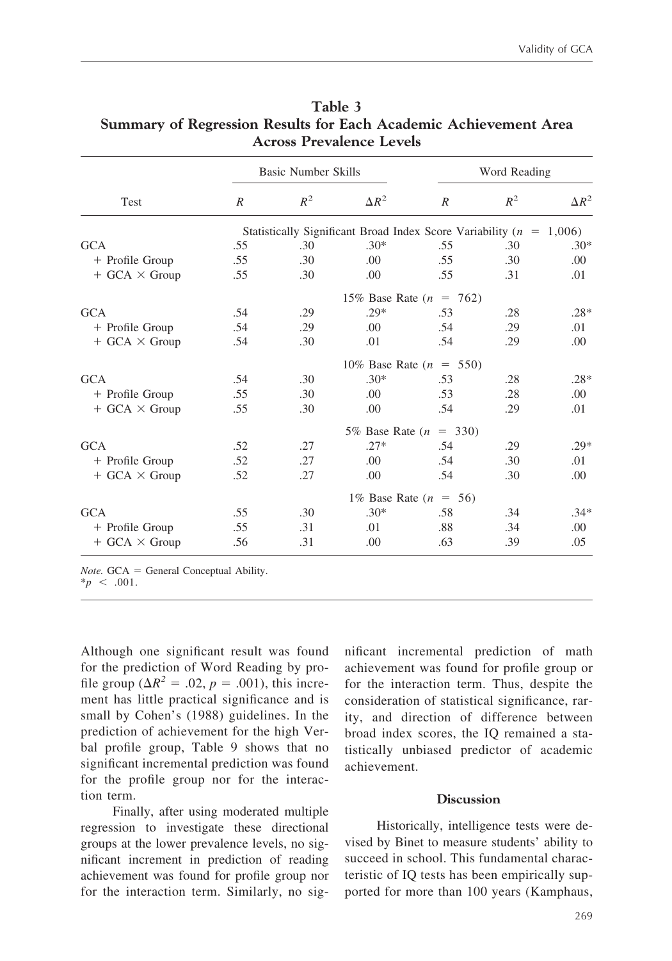|                        |                | <b>Basic Number Skills</b> |                                                                 |                         | Word Reading |              |
|------------------------|----------------|----------------------------|-----------------------------------------------------------------|-------------------------|--------------|--------------|
| Test                   | $\overline{R}$ | $R^2$                      | $\Delta R^2$                                                    | $\overline{R}$          | $R^2$        | $\Delta R^2$ |
|                        |                |                            | Statistically Significant Broad Index Score Variability ( $n =$ |                         |              | 1.006)       |
| <b>GCA</b>             | .55            | .30                        | $.30*$                                                          | .55                     | .30          | $.30*$       |
| + Profile Group        | .55            | .30                        | .00 <sub>1</sub>                                                | .55                     | .30          | .00          |
| $+$ GCA $\times$ Group | .55            | .30                        | .00                                                             | .55                     | .31          | .01          |
|                        |                |                            | 15% Base Rate $(n = 762)$                                       |                         |              |              |
| <b>GCA</b>             | .54            | .29                        | $.29*$                                                          | .53                     | .28          | $.28*$       |
| + Profile Group        | .54            | .29                        | .00.                                                            | .54                     | .29          | .01          |
| $+$ GCA $\times$ Group | .54            | .30                        | .01                                                             | .54                     | .29          | .00          |
|                        |                |                            | 10% Base Rate $(n = 550)$                                       |                         |              |              |
| <b>GCA</b>             | .54            | .30                        | $.30*$                                                          | .53                     | .28          | $.28*$       |
| + Profile Group        | .55            | .30                        | .00 <sub>1</sub>                                                | .53                     | .28          | .00          |
| $+$ GCA $\times$ Group | .55            | .30                        | .00 <sub>1</sub>                                                | .54                     | .29          | .01          |
|                        |                |                            | 5% Base Rate $(n)$                                              | $= 330$                 |              |              |
| <b>GCA</b>             | .52            | .27                        | $.27*$                                                          | .54                     | .29          | $.29*$       |
| + Profile Group        | .52            | .27                        | .00                                                             | .54                     | .30          | .01          |
| $+$ GCA $\times$ Group | .52            | .27                        | .00                                                             | .54                     | .30          | .00          |
|                        |                |                            |                                                                 | 1% Base Rate $(n = 56)$ |              |              |
| <b>GCA</b>             | .55            | .30                        | $.30*$                                                          | .58                     | .34          | $.34*$       |
| + Profile Group        | .55            | .31                        | .01                                                             | .88                     | .34          | .00.         |
| $+$ GCA $\times$ Group | .56            | .31                        | .00                                                             | .63                     | .39          | .05          |

**Table 3 Summary of Regression Results for Each Academic Achievement Area Across Prevalence Levels**

*Note.* GCA = General Conceptual Ability.

 $*_{p}$  < .001.

Although one significant result was found for the prediction of Word Reading by profile group ( $\Delta R^2$  = .02, *p* = .001), this increment has little practical significance and is small by Cohen's (1988) guidelines. In the prediction of achievement for the high Verbal profile group, Table 9 shows that no significant incremental prediction was found for the profile group nor for the interaction term.

Finally, after using moderated multiple regression to investigate these directional groups at the lower prevalence levels, no significant increment in prediction of reading achievement was found for profile group nor for the interaction term. Similarly, no significant incremental prediction of math achievement was found for profile group or for the interaction term. Thus, despite the consideration of statistical significance, rarity, and direction of difference between broad index scores, the IQ remained a statistically unbiased predictor of academic achievement.

#### **Discussion**

Historically, intelligence tests were devised by Binet to measure students' ability to succeed in school. This fundamental characteristic of IQ tests has been empirically supported for more than 100 years (Kamphaus,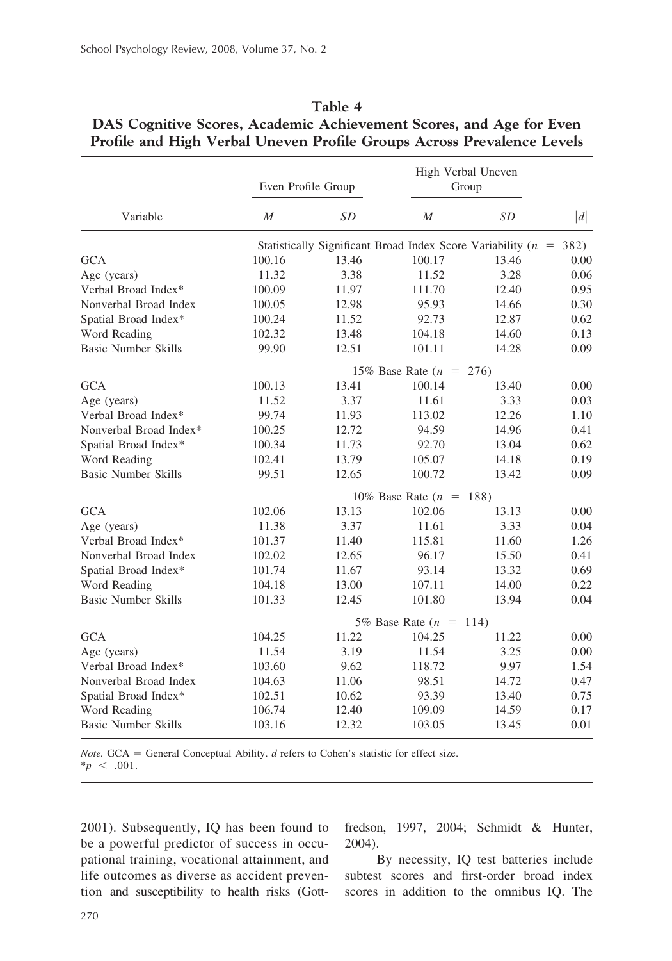|                            |                  | Even Profile Group | High Verbal Uneven<br>Group                                           |       |      |
|----------------------------|------------------|--------------------|-----------------------------------------------------------------------|-------|------|
| Variable                   | $\boldsymbol{M}$ | SD                 | $\boldsymbol{M}$                                                      | SD    | d    |
|                            |                  |                    | Statistically Significant Broad Index Score Variability ( $n = 382$ ) |       |      |
| <b>GCA</b>                 | 100.16           | 13.46              | 100.17                                                                | 13.46 | 0.00 |
| Age (years)                | 11.32            | 3.38               | 11.52                                                                 | 3.28  | 0.06 |
| Verbal Broad Index*        | 100.09           | 11.97              | 111.70                                                                | 12.40 | 0.95 |
| Nonverbal Broad Index      | 100.05           | 12.98              | 95.93                                                                 | 14.66 | 0.30 |
| Spatial Broad Index*       | 100.24           | 11.52              | 92.73                                                                 | 12.87 | 0.62 |
| Word Reading               | 102.32           | 13.48              | 104.18                                                                | 14.60 | 0.13 |
| <b>Basic Number Skills</b> | 99.90            | 12.51              | 101.11                                                                | 14.28 | 0.09 |
|                            |                  |                    | 15% Base Rate $(n = 276)$                                             |       |      |
| <b>GCA</b>                 | 100.13           | 13.41              | 100.14                                                                | 13.40 | 0.00 |
| Age (years)                | 11.52            | 3.37               | 11.61                                                                 | 3.33  | 0.03 |
| Verbal Broad Index*        | 99.74            | 11.93              | 113.02                                                                | 12.26 | 1.10 |
| Nonverbal Broad Index*     | 100.25           | 12.72              | 94.59                                                                 | 14.96 | 0.41 |
| Spatial Broad Index*       | 100.34           | 11.73              | 92.70                                                                 | 13.04 | 0.62 |
| Word Reading               | 102.41           | 13.79              | 105.07                                                                | 14.18 | 0.19 |
| <b>Basic Number Skills</b> | 99.51            | 12.65              | 100.72                                                                | 13.42 | 0.09 |
|                            |                  |                    | 10% Base Rate $(n =$                                                  | 188)  |      |
| <b>GCA</b>                 | 102.06           | 13.13              | 102.06                                                                | 13.13 | 0.00 |
| Age (years)                | 11.38            | 3.37               | 11.61                                                                 | 3.33  | 0.04 |
| Verbal Broad Index*        | 101.37           | 11.40              | 115.81                                                                | 11.60 | 1.26 |
| Nonverbal Broad Index      | 102.02           | 12.65              | 96.17                                                                 | 15.50 | 0.41 |
| Spatial Broad Index*       | 101.74           | 11.67              | 93.14                                                                 | 13.32 | 0.69 |
| Word Reading               | 104.18           | 13.00              | 107.11                                                                | 14.00 | 0.22 |
| Basic Number Skills        | 101.33           | 12.45              | 101.80                                                                | 13.94 | 0.04 |
|                            |                  |                    | 5% Base Rate $(n =$                                                   | 114)  |      |
| GCA                        | 104.25           | 11.22              | 104.25                                                                | 11.22 | 0.00 |
| Age (years)                | 11.54            | 3.19               | 11.54                                                                 | 3.25  | 0.00 |
| Verbal Broad Index*        | 103.60           | 9.62               | 118.72                                                                | 9.97  | 1.54 |
| Nonverbal Broad Index      | 104.63           | 11.06              | 98.51                                                                 | 14.72 | 0.47 |
| Spatial Broad Index*       | 102.51           | 10.62              | 93.39                                                                 | 13.40 | 0.75 |
| Word Reading               | 106.74           | 12.40              | 109.09                                                                | 14.59 | 0.17 |
| <b>Basic Number Skills</b> | 103.16           | 12.32              | 103.05                                                                | 13.45 | 0.01 |

# **Table 4 DAS Cognitive Scores, Academic Achievement Scores, and Age for Even Profile and High Verbal Uneven Profile Groups Across Prevalence Levels**

*Note.* GCA = General Conceptual Ability. *d* refers to Cohen's statistic for effect size.  $*_{p}$  < .001.

2001). Subsequently, IQ has been found to be a powerful predictor of success in occupational training, vocational attainment, and life outcomes as diverse as accident prevention and susceptibility to health risks (Gottfredson, 1997, 2004; Schmidt & Hunter, 2004).

By necessity, IQ test batteries include subtest scores and first-order broad index scores in addition to the omnibus IQ. The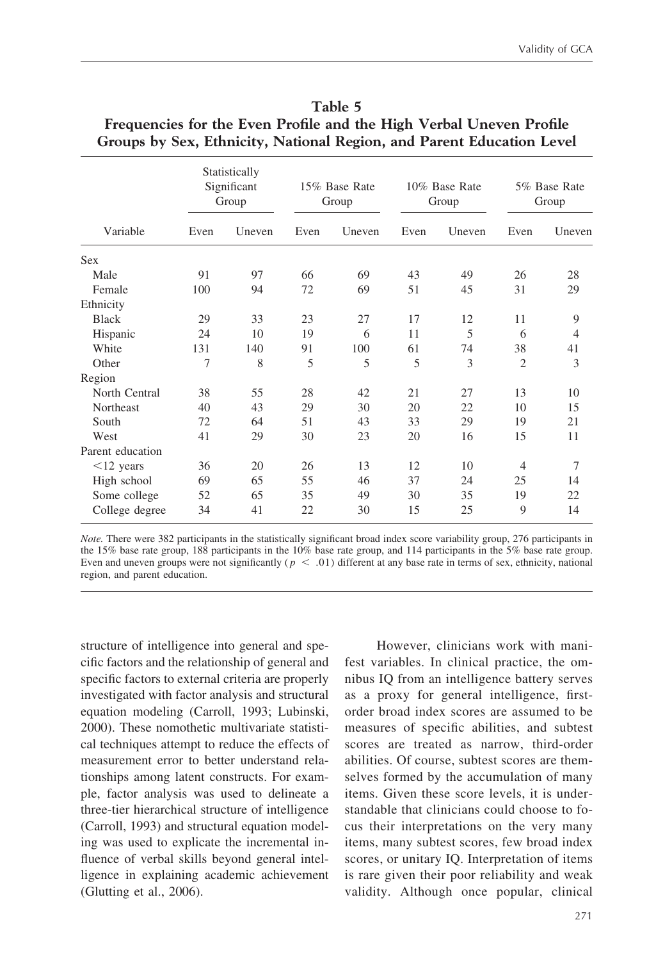|                  | Statistically<br>Significant<br>Group |        | 15% Base Rate<br>Group |        | 10% Base Rate<br>Group |        | 5% Base Rate<br>Group |        |
|------------------|---------------------------------------|--------|------------------------|--------|------------------------|--------|-----------------------|--------|
| Variable         | Even                                  | Uneven | Even                   | Uneven | Even                   | Uneven | Even                  | Uneven |
| <b>Sex</b>       |                                       |        |                        |        |                        |        |                       |        |
| Male             | 91                                    | 97     | 66                     | 69     | 43                     | 49     | 26                    | 28     |
| Female           | 100                                   | 94     | 72                     | 69     | 51                     | 45     | 31                    | 29     |
| Ethnicity        |                                       |        |                        |        |                        |        |                       |        |
| <b>Black</b>     | 29                                    | 33     | 23                     | 27     | 17                     | 12     | 11                    | 9      |
| Hispanic         | 24                                    | 10     | 19                     | 6      | 11                     | 5      | 6                     | 4      |
| White            | 131                                   | 140    | 91                     | 100    | 61                     | 74     | 38                    | 41     |
| Other            | 7                                     | 8      | 5                      | 5      | 5                      | 3      | $\overline{2}$        | 3      |
| Region           |                                       |        |                        |        |                        |        |                       |        |
| North Central    | 38                                    | 55     | 28                     | 42     | 21                     | 27     | 13                    | 10     |
| Northeast        | 40                                    | 43     | 29                     | 30     | 20                     | 22     | 10                    | 15     |
| South            | 72                                    | 64     | 51                     | 43     | 33                     | 29     | 19                    | 21     |
| West             | 41                                    | 29     | 30                     | 23     | 20                     | 16     | 15                    | 11     |
| Parent education |                                       |        |                        |        |                        |        |                       |        |
| $<$ 12 years     | 36                                    | 20     | 26                     | 13     | 12                     | 10     | $\overline{4}$        | 7      |
| High school      | 69                                    | 65     | 55                     | 46     | 37                     | 24     | 25                    | 14     |
| Some college     | 52                                    | 65     | 35                     | 49     | 30                     | 35     | 19                    | 22     |
| College degree   | 34                                    | 41     | 22                     | 30     | 15                     | 25     | 9                     | 14     |

| Table 5                                                               |
|-----------------------------------------------------------------------|
| Frequencies for the Even Profile and the High Verbal Uneven Profile   |
| Groups by Sex, Ethnicity, National Region, and Parent Education Level |

*Note.* There were 382 participants in the statistically significant broad index score variability group, 276 participants in the 15% base rate group, 188 participants in the 10% base rate group, and 114 participants in the 5% base rate group. Even and uneven groups were not significantly ( $p < .01$ ) different at any base rate in terms of sex, ethnicity, national region, and parent education.

structure of intelligence into general and specific factors and the relationship of general and specific factors to external criteria are properly investigated with factor analysis and structural equation modeling (Carroll, 1993; Lubinski, 2000). These nomothetic multivariate statistical techniques attempt to reduce the effects of measurement error to better understand relationships among latent constructs. For example, factor analysis was used to delineate a three-tier hierarchical structure of intelligence (Carroll, 1993) and structural equation modeling was used to explicate the incremental influence of verbal skills beyond general intelligence in explaining academic achievement (Glutting et al., 2006).

However, clinicians work with manifest variables. In clinical practice, the omnibus IQ from an intelligence battery serves as a proxy for general intelligence, firstorder broad index scores are assumed to be measures of specific abilities, and subtest scores are treated as narrow, third-order abilities. Of course, subtest scores are themselves formed by the accumulation of many items. Given these score levels, it is understandable that clinicians could choose to focus their interpretations on the very many items, many subtest scores, few broad index scores, or unitary IQ. Interpretation of items is rare given their poor reliability and weak validity. Although once popular, clinical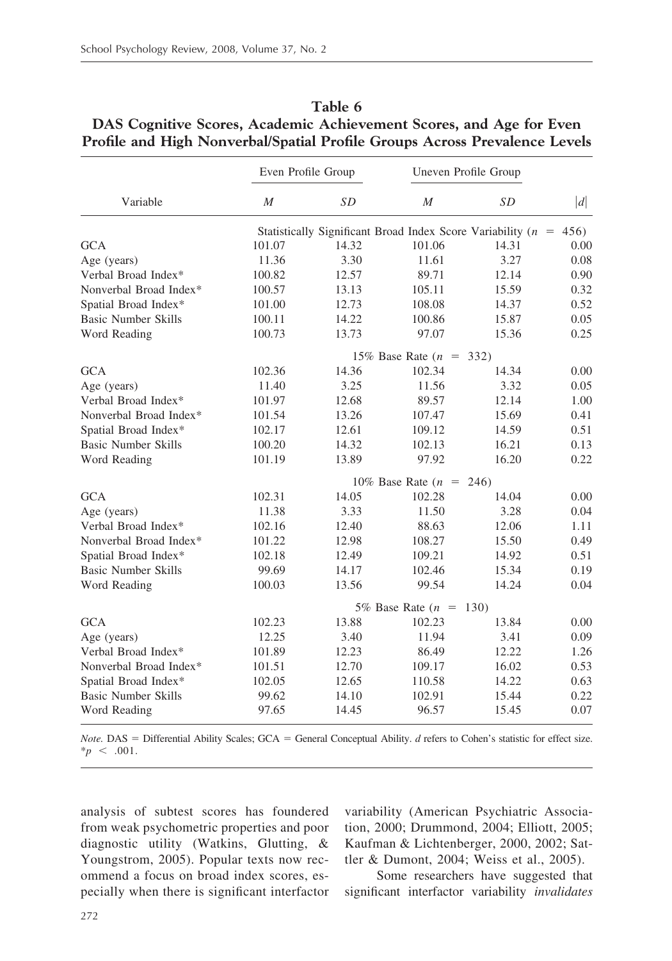|                            | Even Profile Group |       | Uneven Profile Group                                                  |       |      |  |
|----------------------------|--------------------|-------|-----------------------------------------------------------------------|-------|------|--|
| Variable                   | $\cal M$           | SD    | $\cal M$                                                              | SD    | d    |  |
|                            |                    |       | Statistically Significant Broad Index Score Variability ( $n = 456$ ) |       |      |  |
| GCA                        | 101.07             | 14.32 | 101.06                                                                | 14.31 | 0.00 |  |
| Age (years)                | 11.36              | 3.30  | 11.61                                                                 | 3.27  | 0.08 |  |
| Verbal Broad Index*        | 100.82             | 12.57 | 89.71                                                                 | 12.14 | 0.90 |  |
| Nonverbal Broad Index*     | 100.57             | 13.13 | 105.11                                                                | 15.59 | 0.32 |  |
| Spatial Broad Index*       | 101.00             | 12.73 | 108.08                                                                | 14.37 | 0.52 |  |
| <b>Basic Number Skills</b> | 100.11             | 14.22 | 100.86                                                                | 15.87 | 0.05 |  |
| Word Reading               | 100.73             | 13.73 | 97.07                                                                 | 15.36 | 0.25 |  |
|                            |                    |       | 15% Base Rate $(n =$                                                  | 332)  |      |  |
| <b>GCA</b>                 | 102.36             | 14.36 | 102.34                                                                | 14.34 | 0.00 |  |
| Age (years)                | 11.40              | 3.25  | 11.56                                                                 | 3.32  | 0.05 |  |
| Verbal Broad Index*        | 101.97             | 12.68 | 89.57                                                                 | 12.14 | 1.00 |  |
| Nonverbal Broad Index*     | 101.54             | 13.26 | 107.47                                                                | 15.69 | 0.41 |  |
| Spatial Broad Index*       | 102.17             | 12.61 | 109.12                                                                | 14.59 | 0.51 |  |
| <b>Basic Number Skills</b> | 100.20             | 14.32 | 102.13                                                                | 16.21 | 0.13 |  |
| Word Reading               | 101.19             | 13.89 | 97.92                                                                 | 16.20 | 0.22 |  |
|                            |                    |       | 10% Base Rate $(n = 246)$                                             |       |      |  |
| <b>GCA</b>                 | 102.31             | 14.05 | 102.28                                                                | 14.04 | 0.00 |  |
| Age (years)                | 11.38              | 3.33  | 11.50                                                                 | 3.28  | 0.04 |  |
| Verbal Broad Index*        | 102.16             | 12.40 | 88.63                                                                 | 12.06 | 1.11 |  |
| Nonverbal Broad Index*     | 101.22             | 12.98 | 108.27                                                                | 15.50 | 0.49 |  |
| Spatial Broad Index*       | 102.18             | 12.49 | 109.21                                                                | 14.92 | 0.51 |  |
| <b>Basic Number Skills</b> | 99.69              | 14.17 | 102.46                                                                | 15.34 | 0.19 |  |
| Word Reading               | 100.03             | 13.56 | 99.54                                                                 | 14.24 | 0.04 |  |
|                            |                    |       | 5% Base Rate $(n =$                                                   | 130)  |      |  |
| <b>GCA</b>                 | 102.23             | 13.88 | 102.23                                                                | 13.84 | 0.00 |  |
| Age (years)                | 12.25              | 3.40  | 11.94                                                                 | 3.41  | 0.09 |  |
| Verbal Broad Index*        | 101.89             | 12.23 | 86.49                                                                 | 12.22 | 1.26 |  |
| Nonverbal Broad Index*     | 101.51             | 12.70 | 109.17                                                                | 16.02 | 0.53 |  |
| Spatial Broad Index*       | 102.05             | 12.65 | 110.58                                                                | 14.22 | 0.63 |  |
| <b>Basic Number Skills</b> | 99.62              | 14.10 | 102.91                                                                | 15.44 | 0.22 |  |
| Word Reading               | 97.65              | 14.45 | 96.57                                                                 | 15.45 | 0.07 |  |

# **Table 6 DAS Cognitive Scores, Academic Achievement Scores, and Age for Even Profile and High Nonverbal/Spatial Profile Groups Across Prevalence Levels**

*Note.* DAS = Differential Ability Scales; GCA = General Conceptual Ability. *d* refers to Cohen's statistic for effect size.  $*_{p}$  < .001.

analysis of subtest scores has foundered from weak psychometric properties and poor diagnostic utility (Watkins, Glutting, & Youngstrom, 2005). Popular texts now recommend a focus on broad index scores, especially when there is significant interfactor variability (American Psychiatric Association, 2000; Drummond, 2004; Elliott, 2005; Kaufman & Lichtenberger, 2000, 2002; Sattler & Dumont, 2004; Weiss et al., 2005).

Some researchers have suggested that significant interfactor variability *invalidates*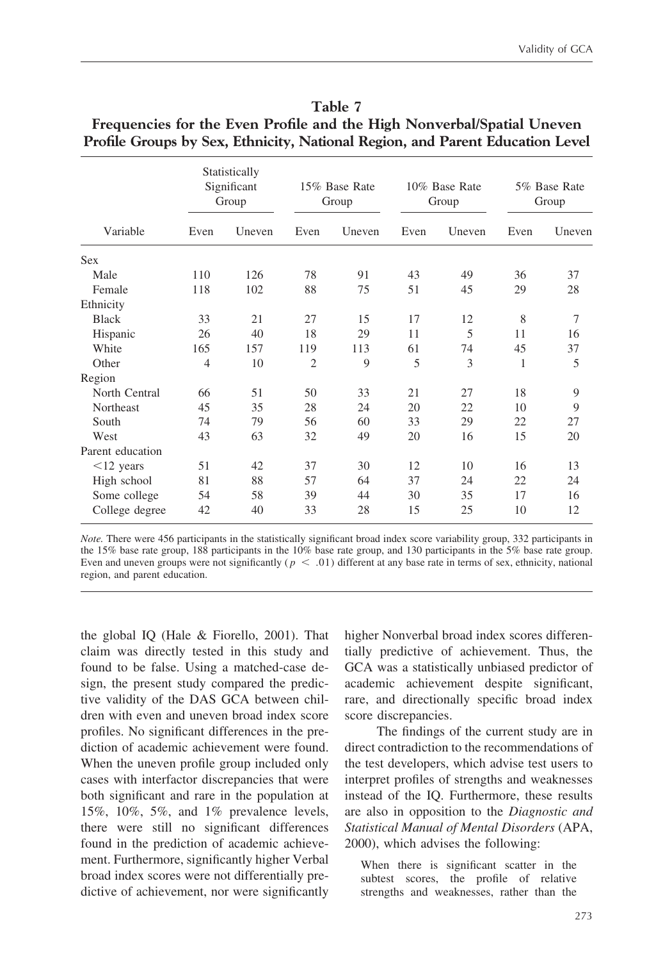|                  |      | Statistically<br>Significant<br>Group |                | 15% Base Rate<br>Group |      | 10% Base Rate<br>Group |      | 5% Base Rate<br>Group |
|------------------|------|---------------------------------------|----------------|------------------------|------|------------------------|------|-----------------------|
| Variable         | Even | Uneven                                | Even           | Uneven                 | Even | Uneven                 | Even | Uneven                |
| <b>Sex</b>       |      |                                       |                |                        |      |                        |      |                       |
| Male             | 110  | 126                                   | 78             | 91                     | 43   | 49                     | 36   | 37                    |
| Female           | 118  | 102                                   | 88             | 75                     | 51   | 45                     | 29   | 28                    |
| Ethnicity        |      |                                       |                |                        |      |                        |      |                       |
| <b>Black</b>     | 33   | 21                                    | 27             | 15                     | 17   | 12                     | 8    | 7                     |
| Hispanic         | 26   | 40                                    | 18             | 29                     | 11   | 5                      | 11   | 16                    |
| White            | 165  | 157                                   | 119            | 113                    | 61   | 74                     | 45   | 37                    |
| Other            | 4    | 10                                    | $\overline{2}$ | 9                      | 5    | 3                      | 1    | 5                     |
| Region           |      |                                       |                |                        |      |                        |      |                       |
| North Central    | 66   | 51                                    | 50             | 33                     | 21   | 27                     | 18   | 9                     |
| Northeast        | 45   | 35                                    | 28             | 24                     | 20   | 22                     | 10   | 9                     |
| South            | 74   | 79                                    | 56             | 60                     | 33   | 29                     | 22   | 27                    |
| West             | 43   | 63                                    | 32             | 49                     | 20   | 16                     | 15   | 20                    |
| Parent education |      |                                       |                |                        |      |                        |      |                       |
| $<$ 12 years     | 51   | 42                                    | 37             | 30                     | 12   | 10                     | 16   | 13                    |
| High school      | 81   | 88                                    | 57             | 64                     | 37   | 24                     | 22   | 24                    |
| Some college     | 54   | 58                                    | 39             | 44                     | 30   | 35                     | 17   | 16                    |
| College degree   | 42   | 40                                    | 33             | 28                     | 15   | 25                     | 10   | 12                    |

| тане 7                                                                        |
|-------------------------------------------------------------------------------|
| Frequencies for the Even Profile and the High Nonverbal/Spatial Uneven        |
| Profile Groups by Sex, Ethnicity, National Region, and Parent Education Level |

**Table 7**

*Note.* There were 456 participants in the statistically significant broad index score variability group, 332 participants in the 15% base rate group, 188 participants in the 10% base rate group, and 130 participants in the 5% base rate group. Even and uneven groups were not significantly ( $p < .01$ ) different at any base rate in terms of sex, ethnicity, national region, and parent education.

the global IQ (Hale & Fiorello, 2001). That claim was directly tested in this study and found to be false. Using a matched-case design, the present study compared the predictive validity of the DAS GCA between children with even and uneven broad index score profiles. No significant differences in the prediction of academic achievement were found. When the uneven profile group included only cases with interfactor discrepancies that were both significant and rare in the population at 15%, 10%, 5%, and 1% prevalence levels, there were still no significant differences found in the prediction of academic achievement. Furthermore, significantly higher Verbal broad index scores were not differentially predictive of achievement, nor were significantly higher Nonverbal broad index scores differentially predictive of achievement. Thus, the GCA was a statistically unbiased predictor of academic achievement despite significant, rare, and directionally specific broad index score discrepancies.

The findings of the current study are in direct contradiction to the recommendations of the test developers, which advise test users to interpret profiles of strengths and weaknesses instead of the IQ. Furthermore, these results are also in opposition to the *Diagnostic and Statistical Manual of Mental Disorders* (APA, 2000), which advises the following:

When there is significant scatter in the subtest scores, the profile of relative strengths and weaknesses, rather than the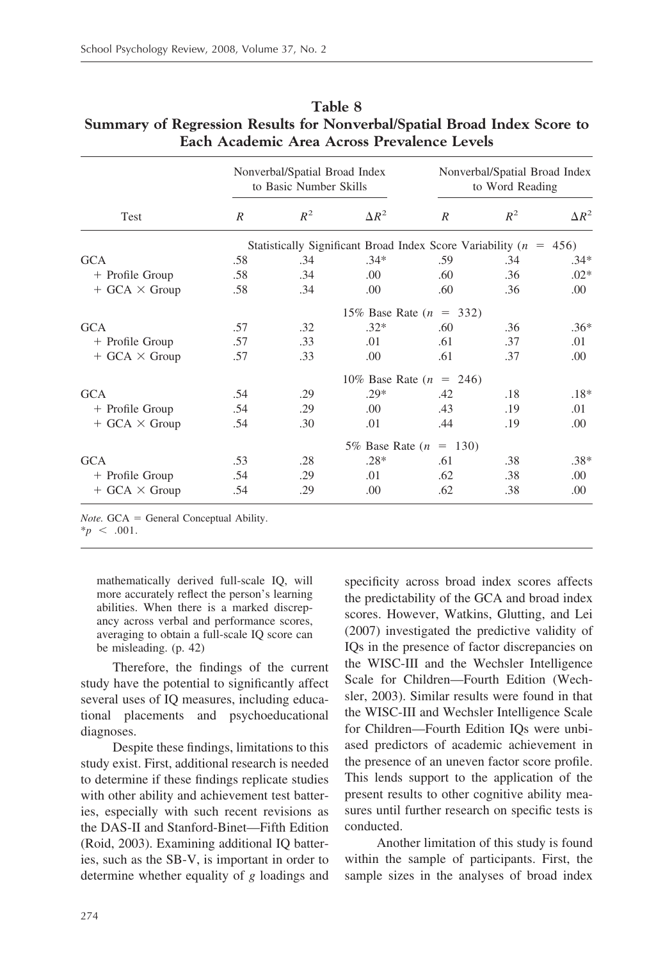|                        |                | Nonverbal/Spatial Broad Index<br>to Basic Number Skills |                                                                       |                  | Nonverbal/Spatial Broad Index<br>to Word Reading |              |  |  |
|------------------------|----------------|---------------------------------------------------------|-----------------------------------------------------------------------|------------------|--------------------------------------------------|--------------|--|--|
| Test                   | $\overline{R}$ | $R^2$                                                   | $\Delta R^2$                                                          | $\boldsymbol{R}$ | $R^2$                                            | $\Delta R^2$ |  |  |
|                        |                |                                                         | Statistically Significant Broad Index Score Variability ( $n = 456$ ) |                  |                                                  |              |  |  |
| <b>GCA</b>             | .58            | .34                                                     | $.34*$                                                                | .59              | .34                                              | $.34*$       |  |  |
| + Profile Group        | .58            | .34                                                     | .00                                                                   | .60              | .36                                              | $.02*$       |  |  |
| $+$ GCA $\times$ Group | .58            | .34                                                     | .00                                                                   | .60              | .36                                              | .00          |  |  |
|                        |                |                                                         | 15% Base Rate $(n = 332)$                                             |                  |                                                  |              |  |  |
| <b>GCA</b>             | .57            | .32                                                     | $.32*$                                                                | .60              | .36                                              | $.36*$       |  |  |
| + Profile Group        | .57            | .33                                                     | .01                                                                   | .61              | .37                                              | .01          |  |  |
| $+$ GCA $\times$ Group | .57            | .33                                                     | .00                                                                   | .61              | .37                                              | .00          |  |  |
|                        |                |                                                         | 10% Base Rate $(n = 246)$                                             |                  |                                                  |              |  |  |
| <b>GCA</b>             | .54            | .29                                                     | $.29*$                                                                | .42              | .18                                              | $.18*$       |  |  |
| + Profile Group        | .54            | .29                                                     | .00.                                                                  | .43              | .19                                              | .01          |  |  |
| $+$ GCA $\times$ Group | .54            | .30                                                     | .01                                                                   | .44              | .19                                              | .00.         |  |  |
|                        |                |                                                         | 5% Base Rate $(n = 130)$                                              |                  |                                                  |              |  |  |
| <b>GCA</b>             | .53            | .28                                                     | $.28*$                                                                | .61              | .38                                              | $.38*$       |  |  |
| + Profile Group        | .54            | .29                                                     | .01                                                                   | .62              | .38                                              | .00.         |  |  |
| $+$ GCA $\times$ Group | .54            | .29                                                     | .00                                                                   | .62              | .38                                              | .00          |  |  |

# **Table 8 Summary of Regression Results for Nonverbal/Spatial Broad Index Score to Each Academic Area Across Prevalence Levels**

*Note.* GCA = General Conceptual Ability.  $*_{p}$  < .001.

mathematically derived full-scale IQ, will more accurately reflect the person's learning abilities. When there is a marked discrepancy across verbal and performance scores, averaging to obtain a full-scale IQ score can be misleading. (p. 42)

Therefore, the findings of the current study have the potential to significantly affect several uses of IQ measures, including educational placements and psychoeducational diagnoses.

Despite these findings, limitations to this study exist. First, additional research is needed to determine if these findings replicate studies with other ability and achievement test batteries, especially with such recent revisions as the DAS-II and Stanford-Binet—Fifth Edition (Roid, 2003). Examining additional IQ batteries, such as the SB-V, is important in order to determine whether equality of *g* loadings and specificity across broad index scores affects the predictability of the GCA and broad index scores. However, Watkins, Glutting, and Lei (2007) investigated the predictive validity of IQs in the presence of factor discrepancies on the WISC-III and the Wechsler Intelligence Scale for Children—Fourth Edition (Wechsler, 2003). Similar results were found in that the WISC-III and Wechsler Intelligence Scale for Children—Fourth Edition IQs were unbiased predictors of academic achievement in the presence of an uneven factor score profile. This lends support to the application of the present results to other cognitive ability measures until further research on specific tests is conducted.

Another limitation of this study is found within the sample of participants. First, the sample sizes in the analyses of broad index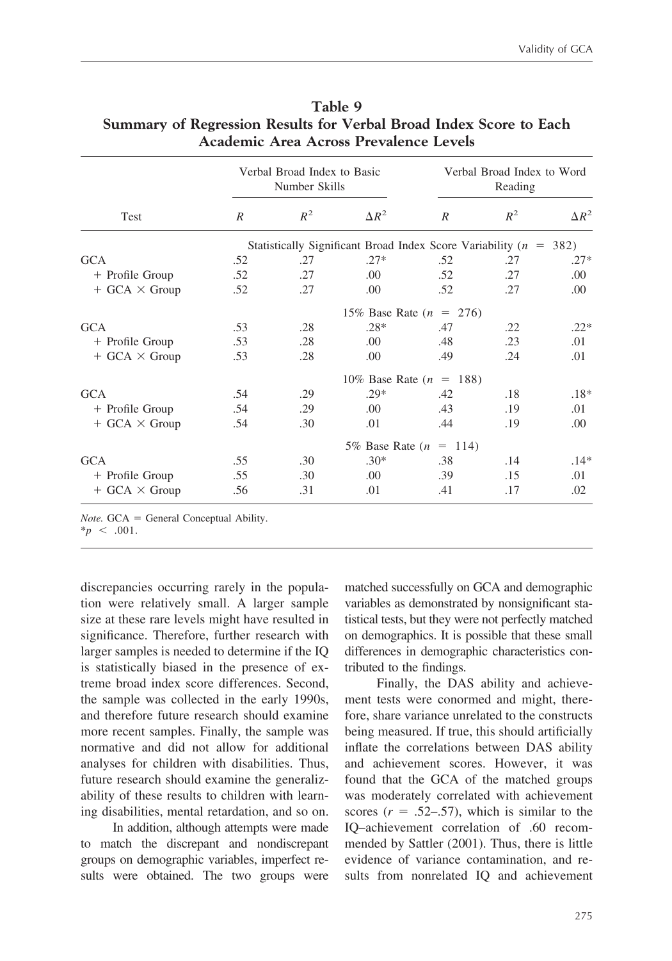| <b>Test</b>            |                | Verbal Broad Index to Basic<br>Number Skills |                                                                 |                | Verbal Broad Index to Word<br>Reading |              |  |  |
|------------------------|----------------|----------------------------------------------|-----------------------------------------------------------------|----------------|---------------------------------------|--------------|--|--|
|                        | $\overline{R}$ | $R^2$                                        | $\Delta R^2$                                                    | $\overline{R}$ | $R^2$                                 | $\Delta R^2$ |  |  |
|                        |                |                                              | Statistically Significant Broad Index Score Variability ( $n =$ |                |                                       | 382)         |  |  |
| <b>GCA</b>             | .52            | .27                                          | $.27*$                                                          | .52            | .27                                   | $.27*$       |  |  |
| + Profile Group        | .52            | .27                                          | .00 <sub>1</sub>                                                | .52            | .27                                   | .00.         |  |  |
| $+$ GCA $\times$ Group | .52            | .27                                          | .00                                                             | .52            | .27                                   | .00          |  |  |
|                        |                |                                              | 15% Base Rate $(n = 276)$                                       |                |                                       |              |  |  |
| <b>GCA</b>             | .53            | .28                                          | $.28*$                                                          | .47            | .22                                   | $.22*$       |  |  |
| + Profile Group        | .53            | .28                                          | .00.                                                            | .48            | .23                                   | .01          |  |  |
| $+$ GCA $\times$ Group | .53            | .28                                          | .00                                                             | .49            | .24                                   | .01          |  |  |
|                        |                |                                              | 10% Base Rate $(n = 188)$                                       |                |                                       |              |  |  |
| <b>GCA</b>             | .54            | .29                                          | $.29*$                                                          | .42            | .18                                   | $.18*$       |  |  |
| + Profile Group        | .54            | .29                                          | .00.                                                            | .43            | .19                                   | .01          |  |  |
| $+$ GCA $\times$ Group | .54            | .30                                          | .01                                                             | .44            | .19                                   | .00.         |  |  |
|                        |                |                                              | 5% Base Rate $(n = 114)$                                        |                |                                       |              |  |  |
| <b>GCA</b>             | .55            | .30                                          | $.30*$                                                          | .38            | .14                                   | $.14*$       |  |  |
| + Profile Group        | .55            | .30                                          | .00.                                                            | .39            | .15                                   | .01          |  |  |
| $+$ GCA $\times$ Group | .56            | .31                                          | .01                                                             | .41            | .17                                   | .02          |  |  |

| Table 9                                                            |
|--------------------------------------------------------------------|
| Summary of Regression Results for Verbal Broad Index Score to Each |
| Academic Area Across Prevalence Levels                             |

*Note.* GCA = General Conceptual Ability.

discrepancies occurring rarely in the population were relatively small. A larger sample size at these rare levels might have resulted in significance. Therefore, further research with larger samples is needed to determine if the IQ is statistically biased in the presence of extreme broad index score differences. Second, the sample was collected in the early 1990s, and therefore future research should examine more recent samples. Finally, the sample was normative and did not allow for additional analyses for children with disabilities. Thus, future research should examine the generalizability of these results to children with learning disabilities, mental retardation, and so on.

In addition, although attempts were made to match the discrepant and nondiscrepant groups on demographic variables, imperfect results were obtained. The two groups were matched successfully on GCA and demographic variables as demonstrated by nonsignificant statistical tests, but they were not perfectly matched on demographics. It is possible that these small differences in demographic characteristics contributed to the findings.

Finally, the DAS ability and achievement tests were conormed and might, therefore, share variance unrelated to the constructs being measured. If true, this should artificially inflate the correlations between DAS ability and achievement scores. However, it was found that the GCA of the matched groups was moderately correlated with achievement scores  $(r = .52-.57)$ , which is similar to the IQ–achievement correlation of .60 recommended by Sattler (2001). Thus, there is little evidence of variance contamination, and results from nonrelated IQ and achievement

 $*_{p}$  < .001.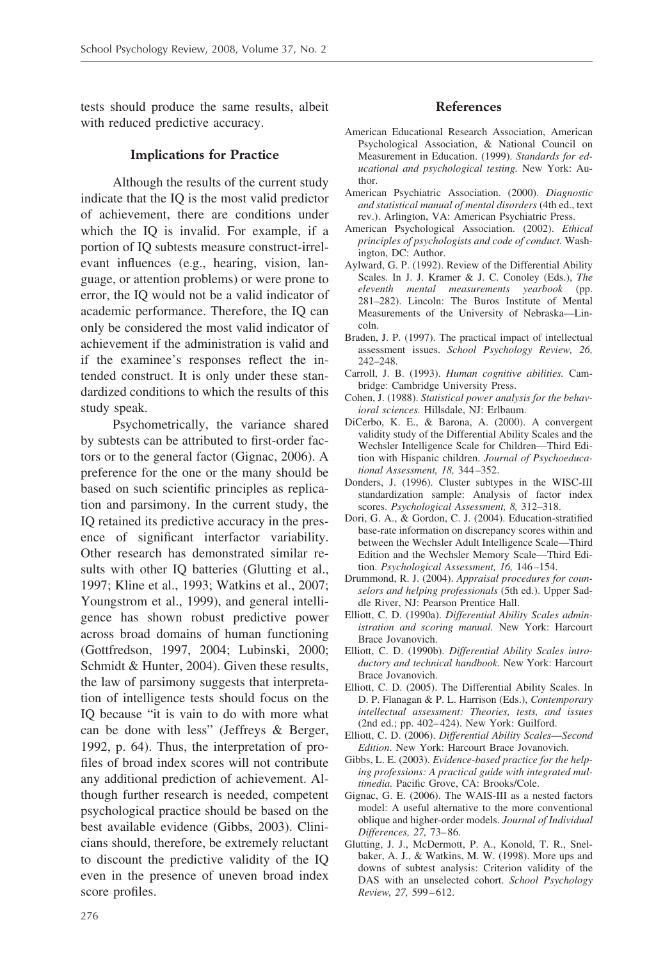tests should produce the same results, albeit with reduced predictive accuracy.

#### **Implications for Practice**

Although the results of the current study indicate that the IQ is the most valid predictor of achievement, there are conditions under which the IQ is invalid. For example, if a portion of IQ subtests measure construct-irrelevant influences (e.g., hearing, vision, language, or attention problems) or were prone to error, the IQ would not be a valid indicator of academic performance. Therefore, the IQ can only be considered the most valid indicator of achievement if the administration is valid and if the examinee's responses reflect the intended construct. It is only under these standardized conditions to which the results of this study speak.

Psychometrically, the variance shared by subtests can be attributed to first-order factors or to the general factor (Gignac, 2006). A preference for the one or the many should be based on such scientific principles as replication and parsimony. In the current study, the IQ retained its predictive accuracy in the presence of significant interfactor variability. Other research has demonstrated similar results with other IQ batteries (Glutting et al., 1997; Kline et al., 1993; Watkins et al., 2007; Youngstrom et al., 1999), and general intelligence has shown robust predictive power across broad domains of human functioning (Gottfredson, 1997, 2004; Lubinski, 2000; Schmidt & Hunter, 2004). Given these results, the law of parsimony suggests that interpretation of intelligence tests should focus on the IQ because "it is vain to do with more what can be done with less" (Jeffreys & Berger, 1992, p. 64). Thus, the interpretation of profiles of broad index scores will not contribute any additional prediction of achievement. Although further research is needed, competent psychological practice should be based on the best available evidence (Gibbs, 2003). Clinicians should, therefore, be extremely reluctant to discount the predictive validity of the IQ even in the presence of uneven broad index score profiles.

### **References**

- American Educational Research Association, American Psychological Association, & National Council on Measurement in Education. (1999). *Standards for educational and psychological testing.* New York: Author.
- American Psychiatric Association. (2000). *Diagnostic and statistical manual of mental disorders* (4th ed., text rev.). Arlington, VA: American Psychiatric Press.
- American Psychological Association. (2002). *Ethical principles of psychologists and code of conduct.* Washington, DC: Author.
- Aylward, G. P. (1992). Review of the Differential Ability Scales. In J. J. Kramer & J. C. Conoley (Eds.), *The eleventh mental measurements yearbook* (pp. 281–282). Lincoln: The Buros Institute of Mental Measurements of the University of Nebraska—Lincoln.
- Braden, J. P. (1997). The practical impact of intellectual assessment issues. *School Psychology Review, 26,* 242–248.
- Carroll, J. B. (1993). *Human cognitive abilities.* Cambridge: Cambridge University Press.
- Cohen, J. (1988). *Statistical power analysis for the behavioral sciences.* Hillsdale, NJ: Erlbaum.
- DiCerbo, K. E., & Barona, A. (2000). A convergent validity study of the Differential Ability Scales and the Wechsler Intelligence Scale for Children—Third Edition with Hispanic children. *Journal of Psychoeducational Assessment, 18,* 344 –352.
- Donders, J. (1996). Cluster subtypes in the WISC-III standardization sample: Analysis of factor index scores. *Psychological Assessment, 8,* 312–318.
- Dori, G. A., & Gordon, C. J. (2004). Education-stratified base-rate information on discrepancy scores within and between the Wechsler Adult Intelligence Scale—Third Edition and the Wechsler Memory Scale—Third Edition. *Psychological Assessment, 16,* 146 –154.
- Drummond, R. J. (2004). *Appraisal procedures for counselors and helping professionals* (5th ed.). Upper Saddle River, NJ: Pearson Prentice Hall.
- Elliott, C. D. (1990a). *Differential Ability Scales administration and scoring manual.* New York: Harcourt Brace Jovanovich.
- Elliott, C. D. (1990b). *Differential Ability Scales introductory and technical handbook.* New York: Harcourt Brace Jovanovich.
- Elliott, C. D. (2005). The Differential Ability Scales. In D. P. Flanagan & P. L. Harrison (Eds.), *Contemporary intellectual assessment: Theories, tests, and issues* (2nd ed.; pp. 402-424). New York: Guilford.
- Elliott, C. D. (2006). *Differential Ability Scales*—*Second Edition*. New York: Harcourt Brace Jovanovich.
- Gibbs, L. E. (2003). *Evidence-based practice for the helping professions: A practical guide with integrated multimedia.* Pacific Grove, CA: Brooks/Cole.
- Gignac, G. E. (2006). The WAIS-III as a nested factors model: A useful alternative to the more conventional oblique and higher-order models. *Journal of Individual Differences, 27,* 73– 86.
- Glutting, J. J., McDermott, P. A., Konold, T. R., Snelbaker, A. J., & Watkins, M. W. (1998). More ups and downs of subtest analysis: Criterion validity of the DAS with an unselected cohort. *School Psychology Review, 27,* 599 – 612.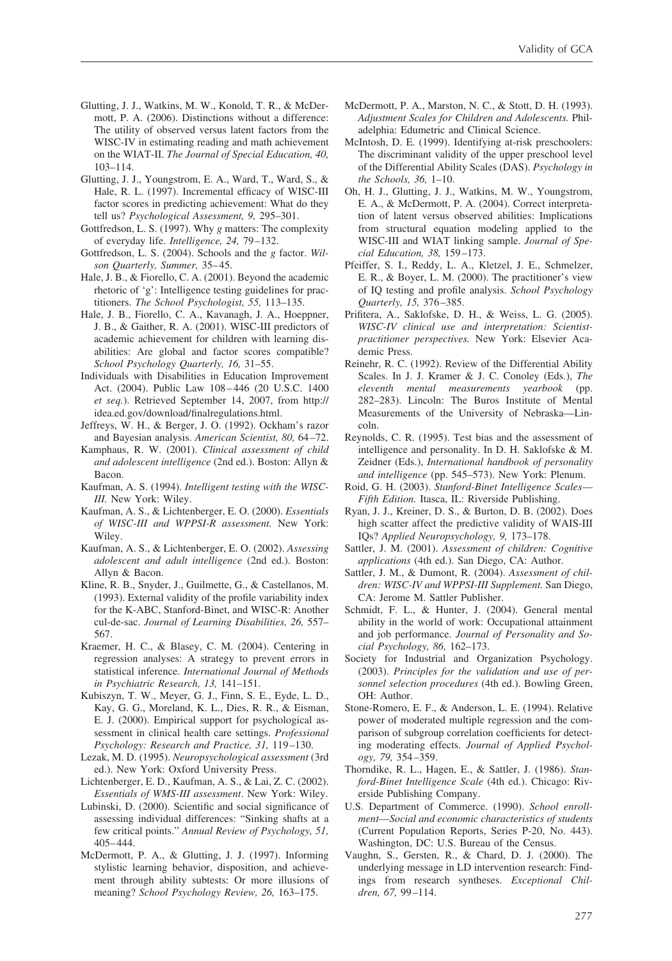- Glutting, J. J., Watkins, M. W., Konold, T. R., & McDermott, P. A. (2006). Distinctions without a difference: The utility of observed versus latent factors from the WISC-IV in estimating reading and math achievement on the WIAT-II. *The Journal of Special Education, 40,* 103–114.
- Glutting, J. J., Youngstrom, E. A., Ward, T., Ward, S., & Hale, R. L. (1997). Incremental efficacy of WISC-III factor scores in predicting achievement: What do they tell us? *Psychological Assessment, 9,* 295–301.
- Gottfredson, L. S. (1997). Why *g* matters: The complexity of everyday life. *Intelligence, 24,* 79 –132.
- Gottfredson, L. S. (2004). Schools and the *g* factor. *Wilson Quarterly, Summer,* 35– 45.
- Hale, J. B., & Fiorello, C. A. (2001). Beyond the academic rhetoric of 'g': Intelligence testing guidelines for practitioners. *The School Psychologist, 55,* 113–135.
- Hale, J. B., Fiorello, C. A., Kavanagh, J. A., Hoeppner, J. B., & Gaither, R. A. (2001). WISC-III predictors of academic achievement for children with learning disabilities: Are global and factor scores compatible? *School Psychology Quarterly, 16,* 31–55.
- Individuals with Disabilities in Education Improvement Act. (2004). Public Law 108 – 446 (20 U.S.C. 1400 *et seq.*). Retrieved September 14, 2007, from http:// idea.ed.gov/download/finalregulations.html.
- Jeffreys, W. H., & Berger, J. O. (1992). Ockham's razor and Bayesian analysis. *American Scientist, 80,* 64 –72.
- Kamphaus, R. W. (2001). *Clinical assessment of child and adolescent intelligence* (2nd ed.). Boston: Allyn & Bacon.
- Kaufman, A. S. (1994). *Intelligent testing with the WISC-III.* New York: Wiley.
- Kaufman, A. S., & Lichtenberger, E. O. (2000). *Essentials of WISC-III and WPPSI-R assessment.* New York: Wiley.
- Kaufman, A. S., & Lichtenberger, E. O. (2002). *Assessing adolescent and adult intelligence* (2nd ed.). Boston: Allyn & Bacon.
- Kline, R. B., Snyder, J., Guilmette, G., & Castellanos, M. (1993). External validity of the profile variability index for the K-ABC, Stanford-Binet, and WISC-R: Another cul-de-sac. *Journal of Learning Disabilities, 26,* 557– 567.
- Kraemer, H. C., & Blasey, C. M. (2004). Centering in regression analyses: A strategy to prevent errors in statistical inference. *International Journal of Methods in Psychiatric Research, 13,* 141–151.
- Kubiszyn, T. W., Meyer, G. J., Finn, S. E., Eyde, L. D., Kay, G. G., Moreland, K. L., Dies, R. R., & Eisman, E. J. (2000). Empirical support for psychological assessment in clinical health care settings. *Professional Psychology: Research and Practice, 31,* 119 –130.
- Lezak, M. D. (1995). *Neuropsychological assessment* (3rd ed.). New York: Oxford University Press.
- Lichtenberger, E. D., Kaufman, A. S., & Lai, Z. C. (2002). *Essentials of WMS-III assessment*. New York: Wiley.
- Lubinski, D. (2000). Scientific and social significance of assessing individual differences: "Sinking shafts at a few critical points." *Annual Review of Psychology, 51,* 405– 444.
- McDermott, P. A., & Glutting, J. J. (1997). Informing stylistic learning behavior, disposition, and achievement through ability subtests: Or more illusions of meaning? *School Psychology Review, 26,* 163–175.
- McDermott, P. A., Marston, N. C., & Stott, D. H. (1993). *Adjustment Scales for Children and Adolescents.* Philadelphia: Edumetric and Clinical Science.
- McIntosh, D. E. (1999). Identifying at-risk preschoolers: The discriminant validity of the upper preschool level of the Differential Ability Scales (DAS). *Psychology in the Schools, 36,* 1–10.
- Oh, H. J., Glutting, J. J., Watkins, M. W., Youngstrom, E. A., & McDermott, P. A. (2004). Correct interpretation of latent versus observed abilities: Implications from structural equation modeling applied to the WISC-III and WIAT linking sample. *Journal of Special Education, 38,* 159 –173.
- Pfeiffer, S. I., Reddy, L. A., Kletzel, J. E., Schmelzer, E. R., & Boyer, L. M. (2000). The practitioner's view of IQ testing and profile analysis. *School Psychology Quarterly, 15,* 376 –385.
- Prifitera, A., Saklofske, D. H., & Weiss, L. G. (2005). *WISC-IV clinical use and interpretation: Scientistpractitioner perspectives.* New York: Elsevier Academic Press.
- Reinehr, R. C. (1992). Review of the Differential Ability Scales. In J. J. Kramer & J. C. Conoley (Eds.), *The eleventh mental measurements yearbook* (pp. 282–283). Lincoln: The Buros Institute of Mental Measurements of the University of Nebraska—Lincoln.
- Reynolds, C. R. (1995). Test bias and the assessment of intelligence and personality. In D. H. Saklofske & M. Zeidner (Eds.), *International handbook of personality and intelligence* (pp. 545–573). New York: Plenum.
- Roid, G. H. (2003). *Stanford-Binet Intelligence Scales Fifth Edition.* Itasca, IL: Riverside Publishing.
- Ryan, J. J., Kreiner, D. S., & Burton, D. B. (2002). Does high scatter affect the predictive validity of WAIS-III IQs? *Applied Neuropsychology, 9,* 173–178.
- Sattler, J. M. (2001). *Assessment of children: Cognitive applications* (4th ed.). San Diego, CA: Author.
- Sattler, J. M., & Dumont, R. (2004). *Assessment of children: WISC-IV and WPPSI-III Supplement.* San Diego, CA: Jerome M. Sattler Publisher.
- Schmidt, F. L., & Hunter, J. (2004). General mental ability in the world of work: Occupational attainment and job performance. *Journal of Personality and Social Psychology, 86,* 162–173.
- Society for Industrial and Organization Psychology. (2003). *Principles for the validation and use of personnel selection procedures* (4th ed.). Bowling Green, OH: Author.
- Stone-Romero, E. F., & Anderson, L. E. (1994). Relative power of moderated multiple regression and the comparison of subgroup correlation coefficients for detecting moderating effects. *Journal of Applied Psychology, 79,* 354 –359.
- Thorndike, R. L., Hagen, E., & Sattler, J. (1986). *Stanford-Binet Intelligence Scale* (4th ed.). Chicago: Riverside Publishing Company.
- U.S. Department of Commerce. (1990). *School enrollment*—*Social and economic characteristics of students* (Current Population Reports, Series P-20, No. 443). Washington, DC: U.S. Bureau of the Census.
- Vaughn, S., Gersten, R., & Chard, D. J. (2000). The underlying message in LD intervention research: Findings from research syntheses. *Exceptional Children, 67,* 99 –114.